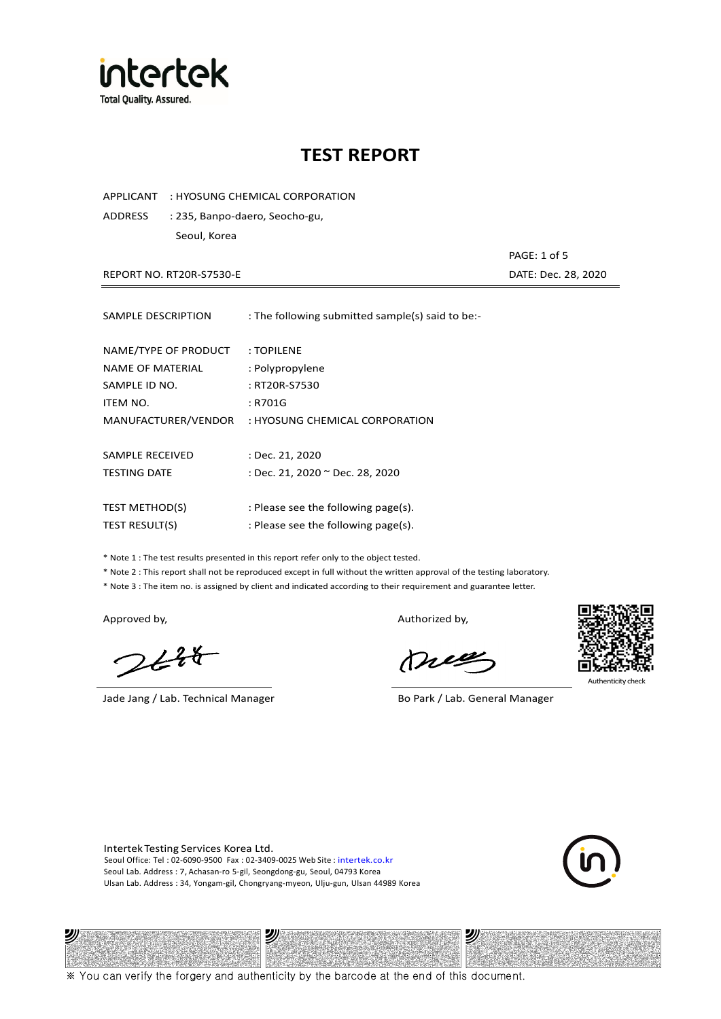

APPLICANT : HYOSUNG CHEMICAL CORPORATION

ADDRESS : 235, Banpo-daero, Seocho-gu, Seoul, Korea

REPORT NO. RT20R-S7530-E DATE: Dec. 28, 2020

PAGE: 1 of 5

| SAMPLE DESCRIPTION    | : The following submitted sample(s) said to be:- |
|-----------------------|--------------------------------------------------|
| NAME/TYPE OF PRODUCT  | : TOPILENE                                       |
| NAME OF MATERIAL      | : Polypropylene                                  |
| SAMPLE ID NO.         | : RT20R-S7530                                    |
| ITEM NO.              | : R701G                                          |
| MANUFACTURER/VENDOR   | : HYOSUNG CHEMICAL CORPORATION                   |
| SAMPLE RECEIVED       | : Dec. 21, 2020                                  |
| <b>TESTING DATE</b>   | : Dec. 21, 2020 ~ Dec. 28, 2020                  |
| <b>TEST METHOD(S)</b> | : Please see the following page(s).              |
| <b>TEST RESULT(S)</b> | : Please see the following page(s).              |

\* Note 1 : The test results presented in this report refer only to the object tested.

\* Note 2 : This report shall not be reproduced except in full without the written approval of the testing laboratory.

\* Note 3 : The item no. is assigned by client and indicated according to their requirement and guarantee letter.

沙

 $2648$ 

Jade Jang / Lab. Technical Manager Borton Borton, Borton Borton, Cab. General Manager

Approved by, and the state of the state of the Authorized by,

Dres



Authenticity check

沙

Intertek Testing Services Korea Ltd. Seoul Office: Tel : 02-6090-9500 Fax : 02-3409-0025 Web Site : intertek.co.kr Seoul Lab. Address : 7, Achasan-ro 5-gil, Seongdong-gu, Seoul, 04793 Korea Ulsan Lab. Address : 34, Yongam-gil, Chongryang-myeon, Ulju-gun, Ulsan 44989 Korea

沙



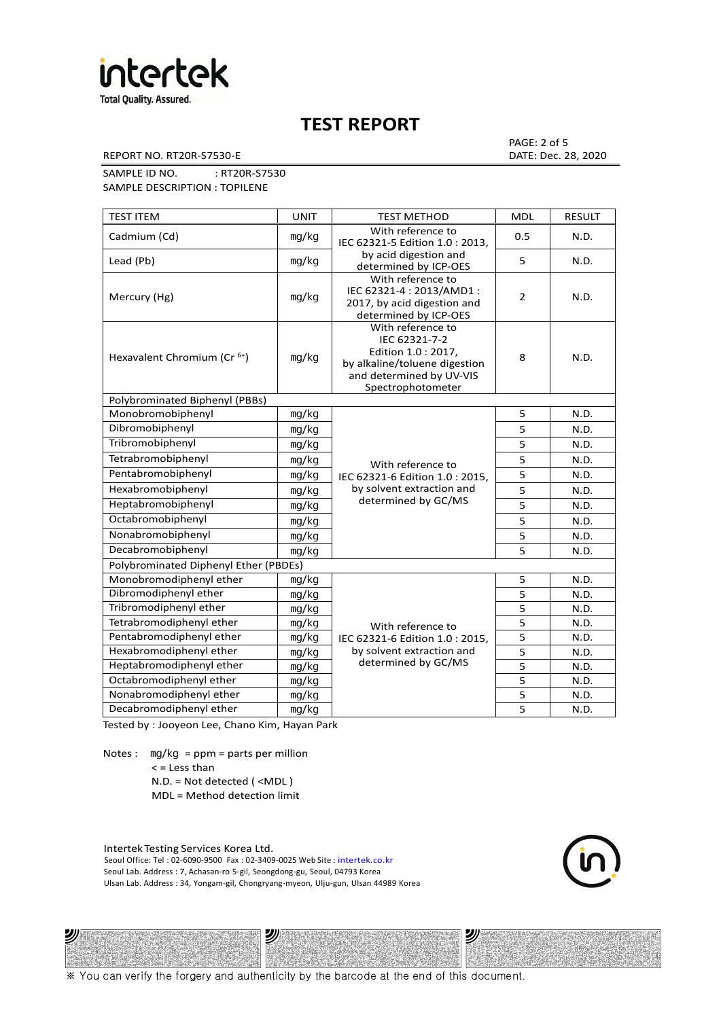

REPORT NO. RT20R-S7530-E DATE: Dec. 28, 2020

PAGE: 2 of 5

SAMPLE ID NO. : RT20R-S7530 SAMPLE DESCRIPTION : TOPILENE

| <b>TEST ITEM</b>                        | <b>UNIT</b> | <b>TEST METHOD</b>                                                                                                                          | <b>MDL</b>     | <b>RESULT</b> |
|-----------------------------------------|-------------|---------------------------------------------------------------------------------------------------------------------------------------------|----------------|---------------|
| Cadmium (Cd)                            | mg/kg       | With reference to<br>IEC 62321-5 Edition 1.0 : 2013.                                                                                        | 0.5            | N.D.          |
| Lead (Pb)                               | mg/kg       | by acid digestion and<br>determined by ICP-OES                                                                                              | 5              | N.D.          |
| Mercury (Hg)                            | mg/kg       | With reference to<br>IEC 62321-4: 2013/AMD1:<br>2017, by acid digestion and<br>determined by ICP-OES                                        | $\overline{2}$ | N.D.          |
| Hexavalent Chromium (Cr <sup>6+</sup> ) | mg/kg       | With reference to<br>IEC 62321-7-2<br>Edition 1.0 : 2017,<br>by alkaline/toluene digestion<br>and determined by UV-VIS<br>Spectrophotometer | 8              | N.D.          |
| Polybrominated Biphenyl (PBBs)          |             |                                                                                                                                             |                |               |
| Monobromobiphenyl                       | mg/kg       |                                                                                                                                             | 5              | N.D.          |
| Dibromobiphenyl                         | mq/kg       |                                                                                                                                             | 5              | N.D.          |
| Tribromobiphenyl                        | mg/kg       |                                                                                                                                             | 5              | N.D.          |
| Tetrabromobiphenyl                      | mg/kg       | With reference to                                                                                                                           | 5              | N.D.          |
| Pentabromobiphenyl                      | mg/kg       | IEC 62321-6 Edition 1.0: 2015,                                                                                                              | 5              | N.D.          |
| Hexabromobiphenyl                       | mg/kg       | by solvent extraction and                                                                                                                   | 5              | N.D.          |
| Heptabromobiphenyl                      | mg/kg       | determined by GC/MS                                                                                                                         | 5              | N.D.          |
| Octabromobiphenyl                       | mg/kg       |                                                                                                                                             | 5              | N.D.          |
| Nonabromobiphenyl                       | mg/kg       |                                                                                                                                             | 5              | N.D.          |
| Decabromobiphenyl                       | mg/kg       |                                                                                                                                             | 5              | N.D.          |
| Polybrominated Diphenyl Ether (PBDEs)   |             |                                                                                                                                             |                |               |
| Monobromodiphenyl ether                 | mg/kg       |                                                                                                                                             | 5              | N.D.          |
| Dibromodiphenyl ether                   | mg/kg       |                                                                                                                                             | 5              | N.D.          |
| Tribromodiphenyl ether                  | mg/kg       |                                                                                                                                             | 5              | N.D.          |
| Tetrabromodiphenyl ether                | mg/kg       | With reference to                                                                                                                           | 5              | N.D.          |
| Pentabromodiphenyl ether                | mg/kg       | IEC 62321-6 Edition 1.0 : 2015,                                                                                                             | 5              | N.D.          |
| Hexabromodiphenyl ether                 | mq/kg       | by solvent extraction and                                                                                                                   | 5              | N.D.          |
| Heptabromodiphenyl ether                | mg/kg       | determined by GC/MS                                                                                                                         | 5              | N.D.          |
| Octabromodiphenyl ether                 | mg/kg       |                                                                                                                                             | 5              | N.D.          |
| Nonabromodiphenyl ether                 | mg/kg       |                                                                                                                                             | 5              | N.D.          |
| Decabromodiphenyl ether                 | mg/kg       |                                                                                                                                             | 5              | N.D.          |

Tested by : Jooyeon Lee, Chano Kim, Hayan Park

Notes : mg/kg = ppm = parts per million  $<$  = Less than N.D. = Not detected ( <MDL )

沙

MDL = Method detection limit

Intertek Testing Services Korea Ltd. Seoul Office: Tel : 02-6090-9500 Fax : 02-3409-0025 Web Site : intertek.co.kr Seoul Lab. Address : 7, Achasan-ro 5-gil, Seongdong-gu, Seoul, 04793 Korea Ulsan Lab. Address : 34, Yongam-gil, Chongryang-myeon, Ulju-gun, Ulsan 44989 Korea

沙



沙

※ You can verify the forgery and authenticity by the barcode at the end of this document.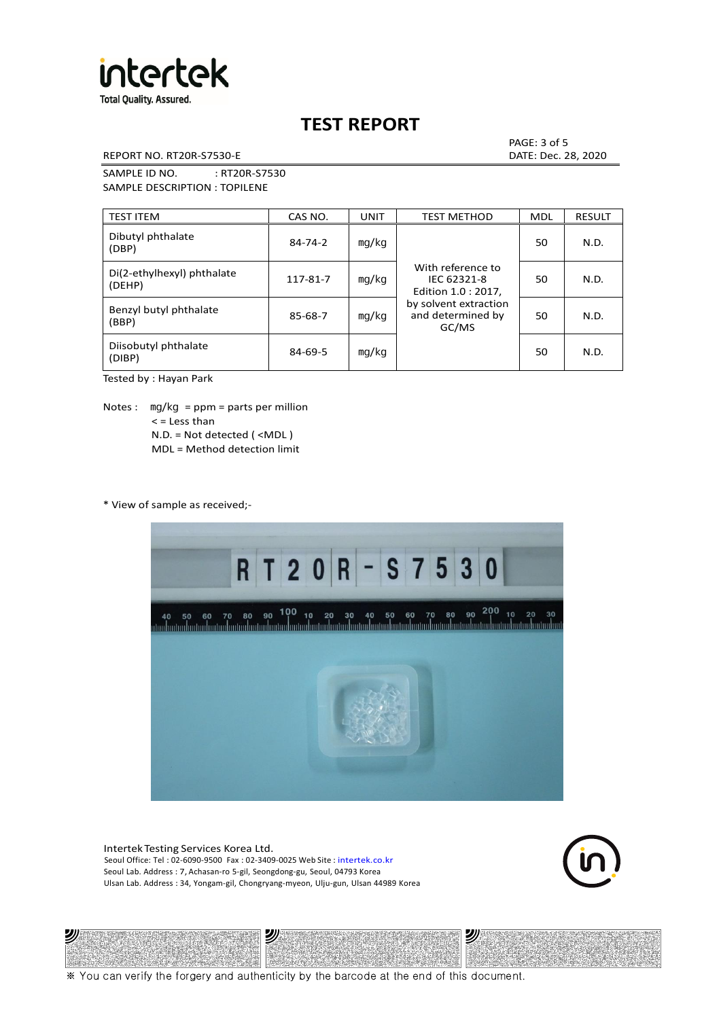

REPORT NO. RT20R-S7530-E DATE: Dec. 28, 2020

PAGE: 3 of 5

SAMPLE ID NO. : RT20R-S7530 SAMPLE DESCRIPTION : TOPILENE

| <b>TEST ITEM</b>                     | CAS NO.       | <b>UNIT</b> | <b>TEST METHOD</b>                                      | <b>MDL</b> | <b>RESULT</b> |
|--------------------------------------|---------------|-------------|---------------------------------------------------------|------------|---------------|
| Dibutyl phthalate<br>(DBP)           | $84 - 74 - 2$ | mg/kg       | With reference to<br>IEC 62321-8<br>Edition 1.0 : 2017, | 50         | N.D.          |
| Di(2-ethylhexyl) phthalate<br>(DEHP) | 117-81-7      | mg/kg       |                                                         | 50         | N.D.          |
| Benzyl butyl phthalate<br>(BBP)      | 85-68-7       | mg/kg       | by solvent extraction<br>and determined by<br>GC/MS     | 50         | N.D.          |
| Diisobutyl phthalate<br>(DIBP)       | $84 - 69 - 5$ | mg/kg       |                                                         | 50         | N.D.          |

Tested by : Hayan Park

Notes :  $mq/kg = ppm = parts per million$  $<$  = Less than N.D. = Not detected ( <MDL ) MDL = Method detection limit

\* View of sample as received;-

沙



Intertek Testing Services Korea Ltd. Seoul Office: Tel : 02-6090-9500 Fax : 02-3409-0025 Web Site : intertek.co.kr Seoul Lab. Address : 7, Achasan-ro 5-gil, Seongdong-gu, Seoul, 04793 Korea Ulsan Lab. Address : 34, Yongam-gil, Chongryang-myeon, Ulju-gun, Ulsan 44989 Korea

2)

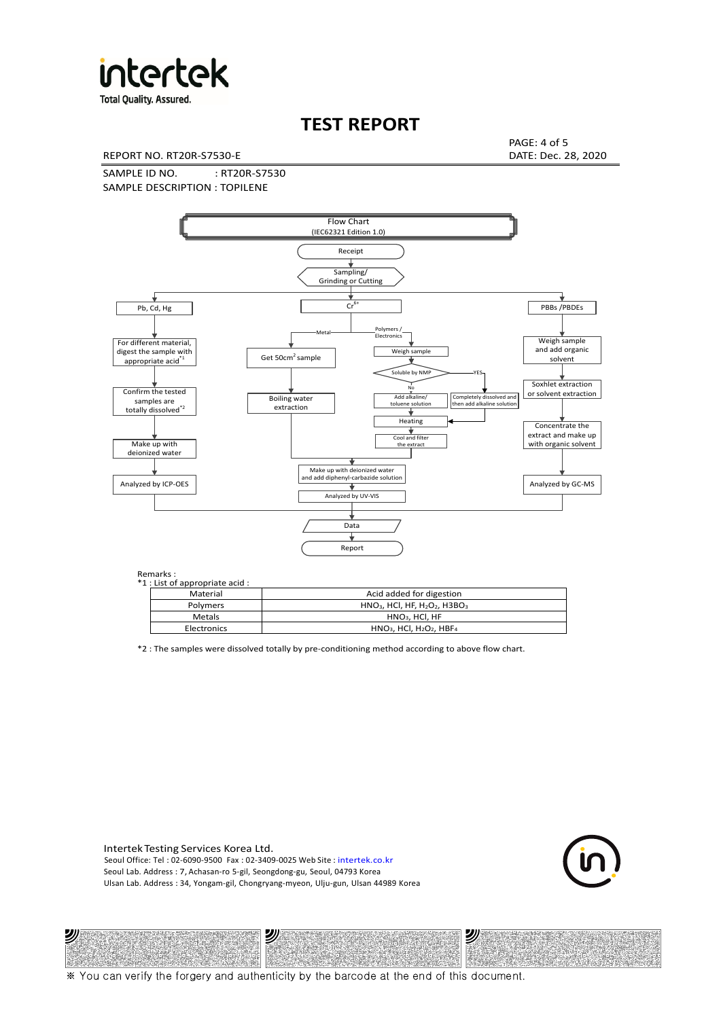

**Total Quality. Assured.** 

## **TEST REPORT**

REPORT NO. RT20R-S7530-E DATE: Dec. 28, 2020

PAGE: 4 of 5

SAMPLE ID NO. : RT20R-S7530 SAMPLE DESCRIPTION : TOPILENE



| *1 : List of appropriate acid : |                                                                     |
|---------------------------------|---------------------------------------------------------------------|
| Material                        | Acid added for digestion                                            |
| <b>Polymers</b>                 | $HNO3$ , HCl, HF, H <sub>2</sub> O <sub>2</sub> , H3BO <sub>3</sub> |
| <b>Metals</b>                   | $HNO3$ . HCl. HF                                                    |
| Electronics                     | $HNO3$ , HCl, H <sub>2</sub> O <sub>2</sub> , HBF <sub>4</sub>      |

\*2 : The samples were dissolved totally by pre-conditioning method according to above flow chart.

Intertek Testing Services Korea Ltd. Seoul Office: Tel : 02-6090-9500 Fax : 02-3409-0025 Web Site : intertek.co.kr Seoul Lab. Address : 7, Achasan-ro 5-gil, Seongdong-gu, Seoul, 04793 Korea Ulsan Lab. Address : 34, Yongam-gil, Chongryang-myeon, Ulju-gun, Ulsan 44989 Korea

沙

沙



沙